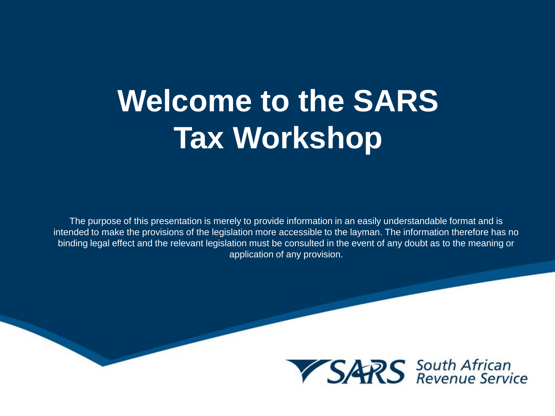## **Welcome to the SARS Tax Workshop**

The purpose of this presentation is merely to provide information in an easily understandable format and is intended to make the provisions of the legislation more accessible to the layman. The information therefore has no binding legal effect and the relevant legislation must be consulted in the event of any doubt as to the meaning or application of any provision.

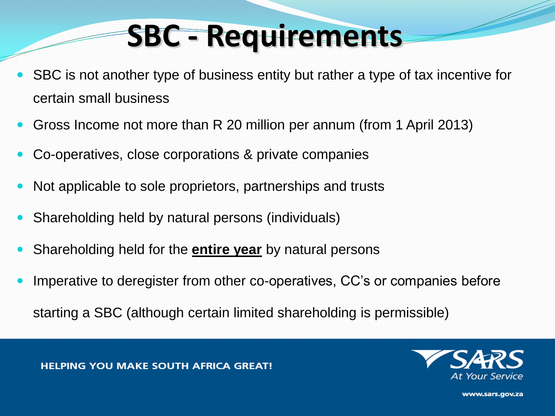- SBC is not another type of business entity but rather a type of tax incentive for certain small business
- Gross Income not more than R 20 million per annum (from 1 April 2013)
- Co-operatives, close corporations & private companies
- Not applicable to sole proprietors, partnerships and trusts
- Shareholding held by natural persons (individuals)
- Shareholding held for the **entire year** by natural persons
- Imperative to deregister from other co-operatives, CC's or companies before

starting a SBC (although certain limited shareholding is permissible)

**HELPING YOU MAKE SOUTH AFRICA GREAT!** 

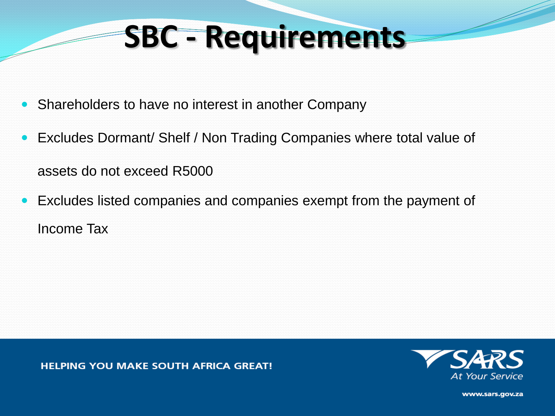- Shareholders to have no interest in another Company
- Excludes Dormant/ Shelf / Non Trading Companies where total value of assets do not exceed R5000
- Excludes listed companies and companies exempt from the payment of Income Tax

**HELPING YOU MAKE SOUTH AFRICA GREAT!** 

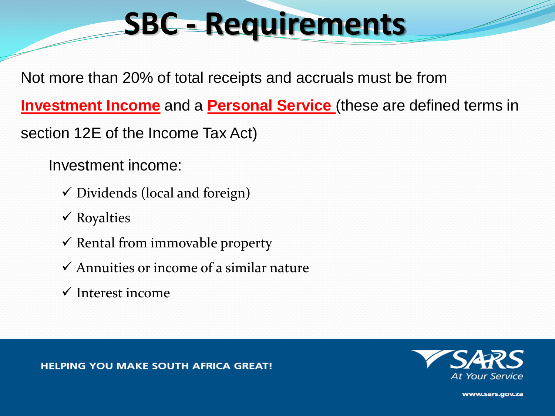Not more than 20% of total receipts and accruals must be from

**Investment Income** and a **Personal Service** (these are defined terms in

section 12E of the Income Tax Act)

Investment income:

- $\checkmark$  Dividends (local and foreign)
- $\checkmark$  Royalties
- $\checkmark$  Rental from immovable property
- $\checkmark$  Annuities or income of a similar nature
- $\checkmark$  Interest income

Your Service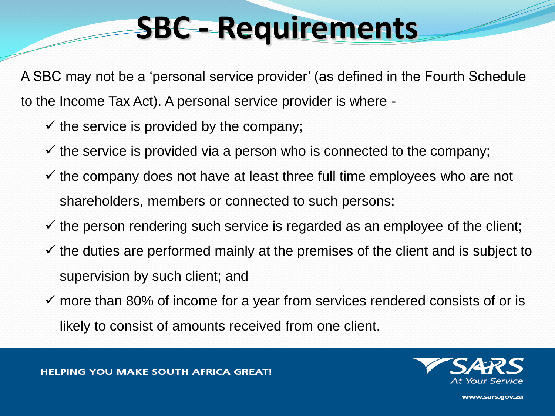A SBC may not be a 'personal service provider' (as defined in the Fourth Schedule to the Income Tax Act). A personal service provider is where -

- $\checkmark$  the service is provided by the company;
- $\checkmark$  the service is provided via a person who is connected to the company;
- $\checkmark$  the company does not have at least three full time employees who are not shareholders, members or connected to such persons;
- $\checkmark$  the person rendering such service is regarded as an employee of the client;
- $\checkmark$  the duties are performed mainly at the premises of the client and is subject to supervision by such client; and
- $\checkmark$  more than 80% of income for a year from services rendered consists of or is likely to consist of amounts received from one client.

**HELPING YOU MAKE SOUTH AFRICA GREAT!** 



WW.Sars.gov.za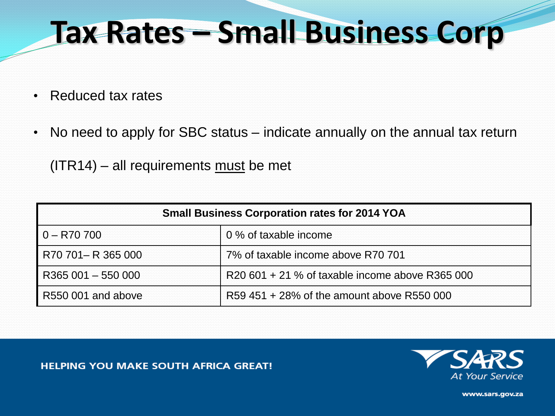## **Tax Rates – Small Business Corp**

- Reduced tax rates
- No need to apply for SBC status indicate annually on the annual tax return

 $(ITR14) - all requirements must be met$ 

| <b>Small Business Corporation rates for 2014 YOA</b> |                                                 |
|------------------------------------------------------|-------------------------------------------------|
| $0 - R70700$                                         | 0 % of taxable income                           |
| R70 701-R 365 000                                    | 7% of taxable income above R70 701              |
| R365 001 - 550 000                                   | R20 601 + 21 % of taxable income above R365 000 |
| R550 001 and above                                   | R59 451 + 28% of the amount above R550 000      |

**HELPING YOU MAKE SOUTH AFRICA GREAT!**